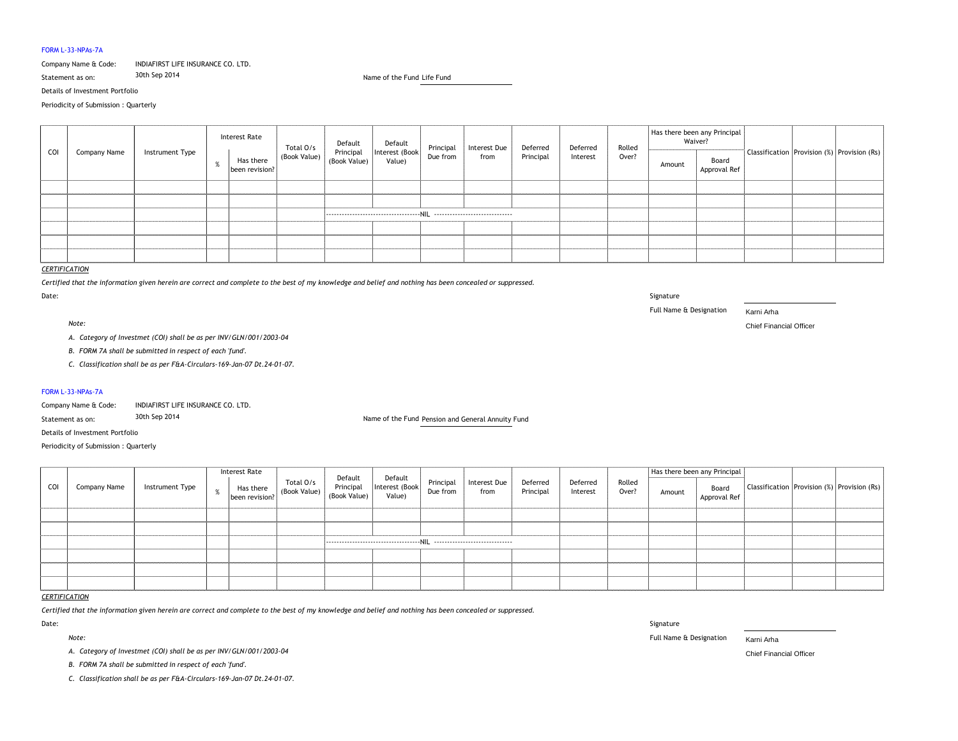### FORM L-33-NPAs-7A

# Company Name & Code: INDIAFIRST LIFE INSURANCE CO. LTD.

Details of Investment Portfolio

Periodicity of Submission : Quarterly

# *CERTIFICATION*

*Certified that the information given herein are correct and complete to the best of my knowledge and belief and nothing has been concealed or suppressed.* Date: Signature

*Note:* Chief Financial Officer

- *A. Category of Investmet (COI) shall be as per INV/GLN/001/2003-04*
- *B. FORM 7A shall be submitted in respect of each 'fund'.*
- *C. Classification shall be as per F&A-Circulars-169-Jan-07 Dt.24-01-07.*

## FORM L-33-NPAs-7A

Company Name & Code: INDIAFIRST LIFE INSURANCE CO. LTD.

Details of Investment Portfolio

Periodicity of Submission : Quarterly

Statement as on: 30th Sep 2014 Life Fund Name of the Fund

## *CERTIFICATION*

*Certified that the information given herein are correct and complete to the best of my knowledge and belief and nothing has been concealed or suppressed.*

| COI | Company Name | Instrument Type | <b>Interest Rate</b> |                             |                           |                                                                                       | Interest Due | Deferred  | Deferred | Rolled | Has there been any Principal<br>Waiver? |                       |  |                                                 |
|-----|--------------|-----------------|----------------------|-----------------------------|---------------------------|---------------------------------------------------------------------------------------|--------------|-----------|----------|--------|-----------------------------------------|-----------------------|--|-------------------------------------------------|
|     |              |                 | O                    | Has there<br>been revision? | Total O/s<br>(Book Value) | Default Default<br>Principal Interest (Book Principal<br>(Book Value) Value) Due from | from         | Principal | Interest | Over?  | Amount                                  | Board<br>Approval Ref |  | Classification   Provision (%)   Provision (Rs) |
|     |              |                 |                      |                             |                           |                                                                                       |              |           |          |        |                                         |                       |  |                                                 |
|     |              |                 |                      |                             |                           |                                                                                       |              |           |          |        |                                         |                       |  |                                                 |
|     |              |                 |                      |                             |                           |                                                                                       |              |           |          |        |                                         |                       |  |                                                 |
|     |              |                 |                      |                             |                           |                                                                                       |              |           |          |        |                                         |                       |  |                                                 |
|     |              |                 |                      |                             |                           |                                                                                       |              |           |          |        |                                         |                       |  |                                                 |
|     |              |                 |                      |                             |                           |                                                                                       |              |           |          |        |                                         |                       |  |                                                 |

Date: Signature

Statement as on: 30th Sep 2014 Pension and General Annuity Fund Name of the Fund

*Note:* Full Name & Designation Karni Arha

| COI          |                     | Instrument Type | Interest Rate |                                                                        | Default<br>Principal<br>(Book Value) | Default<br> <br> Interest (Book<br>Value) | Principal<br>Due from | Interest Due<br>from | Deferred<br>Principal | Deferred<br>Interest | Rolled<br>Over? | Has there been any Principal |                       |  | Classification   Provision (%)   Provision (Rs) |
|--------------|---------------------|-----------------|---------------|------------------------------------------------------------------------|--------------------------------------|-------------------------------------------|-----------------------|----------------------|-----------------------|----------------------|-----------------|------------------------------|-----------------------|--|-------------------------------------------------|
|              | <b>Company Name</b> |                 |               | <b>Example 1</b> Total O/s<br>Been revision? (Book Value) (Book Value) |                                      |                                           |                       |                      |                       |                      |                 | Amount                       | Board<br>Approval Ref |  |                                                 |
|              |                     |                 |               |                                                                        |                                      |                                           |                       |                      |                       |                      |                 |                              |                       |  |                                                 |
|              |                     |                 |               |                                                                        |                                      |                                           |                       |                      |                       |                      |                 |                              |                       |  |                                                 |
|              |                     |                 |               |                                                                        |                                      |                                           |                       |                      |                       |                      |                 |                              |                       |  |                                                 |
|              |                     |                 |               |                                                                        |                                      |                                           |                       |                      |                       |                      |                 |                              |                       |  |                                                 |
|              |                     |                 |               |                                                                        |                                      |                                           |                       |                      |                       |                      |                 |                              |                       |  |                                                 |
|              |                     |                 |               |                                                                        |                                      |                                           |                       |                      |                       |                      |                 |                              |                       |  |                                                 |
| ------------ |                     |                 |               |                                                                        |                                      |                                           |                       |                      |                       |                      |                 |                              |                       |  |                                                 |

- *A. Category of Investmet (COI) shall be as per INV/GLN/001/2003-04* Chief Financial Officer
- *B. FORM 7A shall be submitted in respect of each 'fund'.*
- *C. Classification shall be as per F&A-Circulars-169-Jan-07 Dt.24-01-07.*

Full Name & Designation Karni Arha